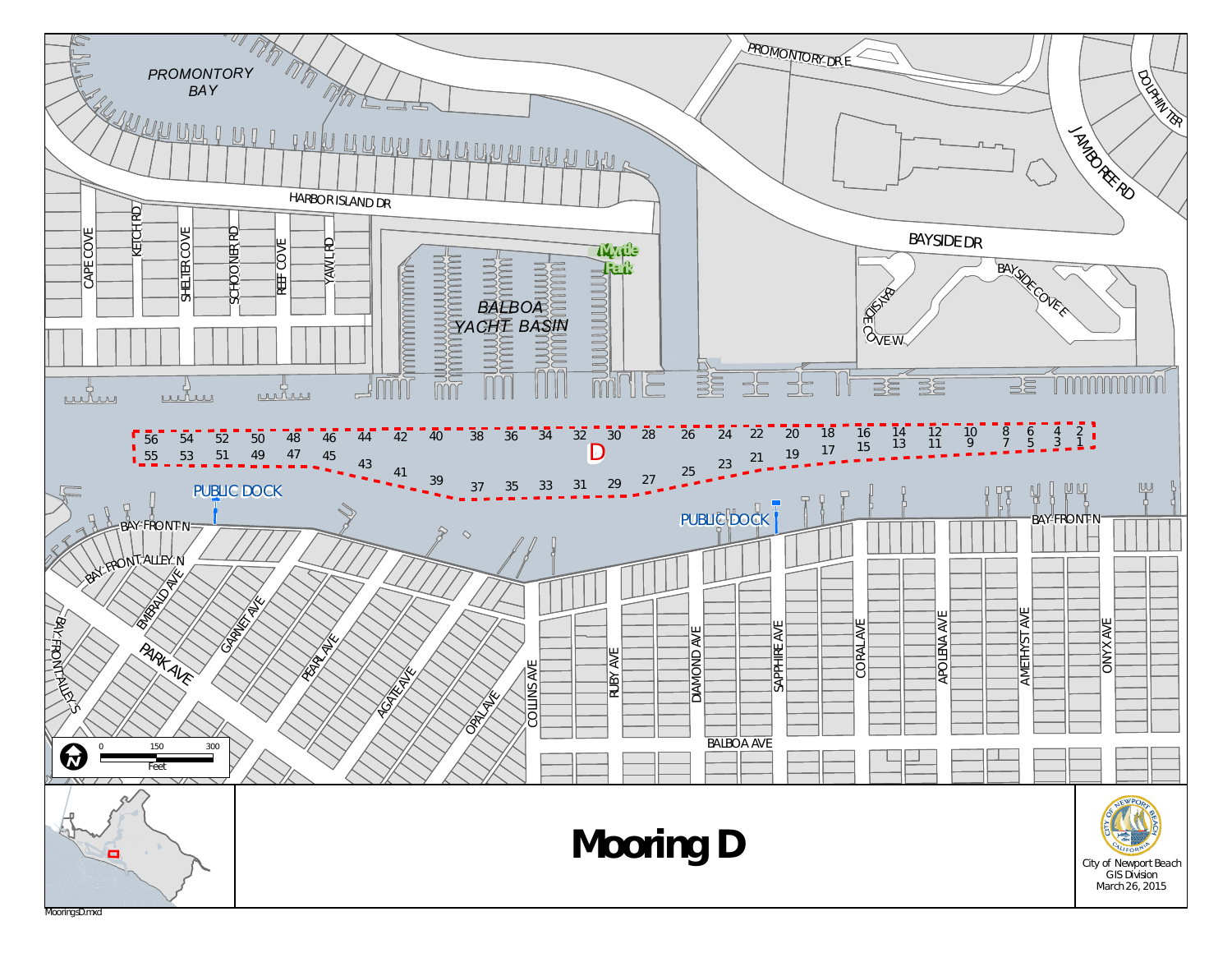